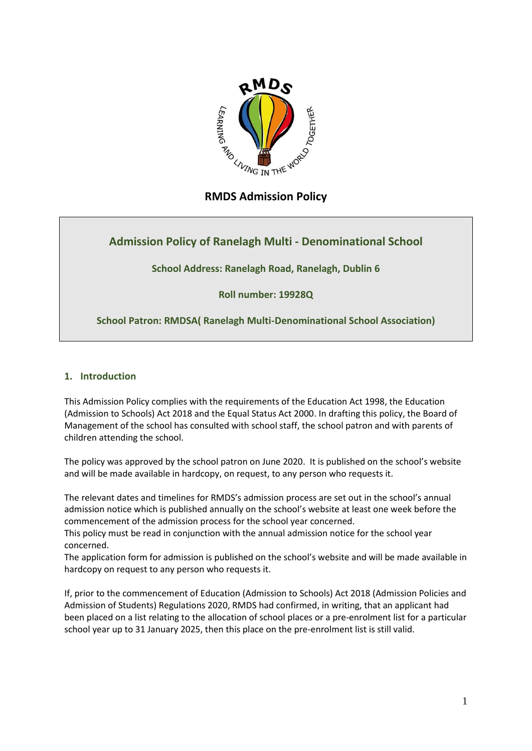

# **RMDS Admission Policy**

# **Admission Policy of Ranelagh Multi - Denominational School**

**School Address: Ranelagh Road, Ranelagh, Dublin 6**

**Roll number: 19928Q**

**School Patron: RMDSA( Ranelagh Multi-Denominational School Association)**

# **1. Introduction**

This Admission Policy complies with the requirements of the Education Act 1998, the Education (Admission to Schools) Act 2018 and the Equal Status Act 2000. In drafting this policy, the Board of Management of the school has consulted with school staff, the school patron and with parents of children attending the school.

The policy was approved by the school patron on June 2020. It is published on the school's website and will be made available in hardcopy, on request, to any person who requests it.

The relevant dates and timelines for RMDS's admission process are set out in the school's annual admission notice which is published annually on the school's website at least one week before the commencement of the admission process for the school year concerned.

This policy must be read in conjunction with the annual admission notice for the school year concerned.

The application form for admission is published on the school's website and will be made available in hardcopy on request to any person who requests it.

If, prior to the commencement of Education (Admission to Schools) Act 2018 (Admission Policies and Admission of Students) Regulations 2020, RMDS had confirmed, in writing, that an applicant had been placed on a list relating to the allocation of school places or a pre-enrolment list for a particular school year up to 31 January 2025, then this place on the pre-enrolment list is still valid.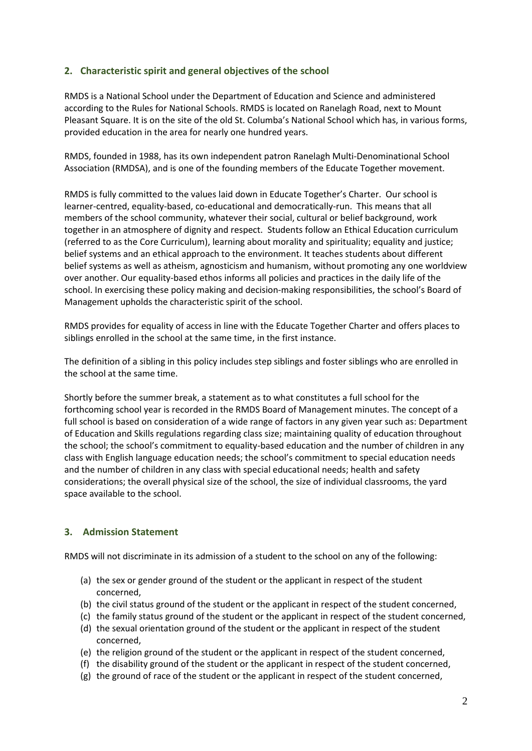## **2. Characteristic spirit and general objectives of the school**

RMDS is a National School under the Department of Education and Science and administered according to the Rules for National Schools. RMDS is located on Ranelagh Road, next to Mount Pleasant Square. It is on the site of the old St. Columba's National School which has, in various forms, provided education in the area for nearly one hundred years.

RMDS, founded in 1988, has its own independent patron Ranelagh Multi-Denominational School Association (RMDSA), and is one of the founding members of the Educate Together movement.

RMDS is fully committed to the values laid down in Educate Together's Charter. Our school is learner-centred, equality-based, co-educational and democratically-run. This means that all members of the school community, whatever their social, cultural or belief background, work together in an atmosphere of dignity and respect. Students follow an Ethical Education curriculum (referred to as the Core Curriculum), learning about morality and spirituality; equality and justice; belief systems and an ethical approach to the environment. It teaches students about different belief systems as well as atheism, agnosticism and humanism, without promoting any one worldview over another. Our equality-based ethos informs all policies and practices in the daily life of the school. In exercising these policy making and decision-making responsibilities, the school's Board of Management upholds the characteristic spirit of the school.

RMDS provides for equality of access in line with the Educate Together Charter and offers places to siblings enrolled in the school at the same time, in the first instance.

The definition of a sibling in this policy includes step siblings and foster siblings who are enrolled in the school at the same time.

Shortly before the summer break, a statement as to what constitutes a full school for the forthcoming school year is recorded in the RMDS Board of Management minutes. The concept of a full school is based on consideration of a wide range of factors in any given year such as: Department of Education and Skills regulations regarding class size; maintaining quality of education throughout the school; the school's commitment to equality-based education and the number of children in any class with English language education needs; the school's commitment to special education needs and the number of children in any class with special educational needs; health and safety considerations; the overall physical size of the school, the size of individual classrooms, the yard space available to the school.

## **3. Admission Statement**

RMDS will not discriminate in its admission of a student to the school on any of the following:

- (a) the sex or gender ground of the student or the applicant in respect of the student concerned,
- (b) the civil status ground of the student or the applicant in respect of the student concerned,
- (c) the family status ground of the student or the applicant in respect of the student concerned,
- (d) the sexual orientation ground of the student or the applicant in respect of the student concerned,
- (e) the religion ground of the student or the applicant in respect of the student concerned,
- (f) the disability ground of the student or the applicant in respect of the student concerned,
- (g) the ground of race of the student or the applicant in respect of the student concerned,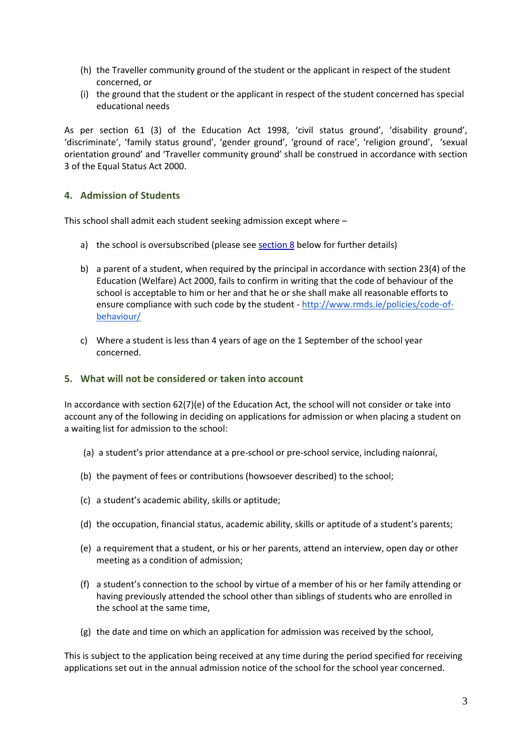- (h) the Traveller community ground of the student or the applicant in respect of the student concerned, or
- (i) the ground that the student or the applicant in respect of the student concerned has special educational needs

As per section 61 (3) of the Education Act 1998, 'civil status ground', 'disability ground', 'discriminate', 'family status ground', 'gender ground', 'ground of race', 'religion ground', 'sexual orientation ground' and 'Traveller community ground' shall be construed in accordance with section 3 of the Equal Status Act 2000.

## **4. Admission of Students**

This school shall admit each student seeking admission except where –

- a) the school is oversubscribed (please see section 8 below for further details)
- b) a parent of a student, when required by the principal in accordance with section 23(4) of the Education (Welfare) Act 2000, fails to confirm in writing that the code of behaviour of the school is acceptable to him or her and that he or she shall make all reasonable efforts to ensure compliance with such code by the student - [http://www.rmds.ie/policies/code-of](http://www.rmds.ie/policies/code-of-behaviour/)[behaviour/](http://www.rmds.ie/policies/code-of-behaviour/)
- c) Where a student is less than 4 years of age on the 1 September of the school year concerned.

### **5. What will not be considered or taken into account**

In accordance with section 62(7)(e) of the Education Act, the school will not consider or take into account any of the following in deciding on applications for admission or when placing a student on a waiting list for admission to the school:

- (a) a student's prior attendance at a pre-school or pre-school service, including naíonraí,
- (b) the payment of fees or contributions (howsoever described) to the school;
- (c) a student's academic ability, skills or aptitude;
- (d) the occupation, financial status, academic ability, skills or aptitude of a student's parents;
- (e) a requirement that a student, or his or her parents, attend an interview, open day or other meeting as a condition of admission;
- (f) a student's connection to the school by virtue of a member of his or her family attending or having previously attended the school other than siblings of students who are enrolled in the school at the same time,
- (g) the date and time on which an application for admission was received by the school,

This is subject to the application being received at any time during the period specified for receiving applications set out in the annual admission notice of the school for the school year concerned.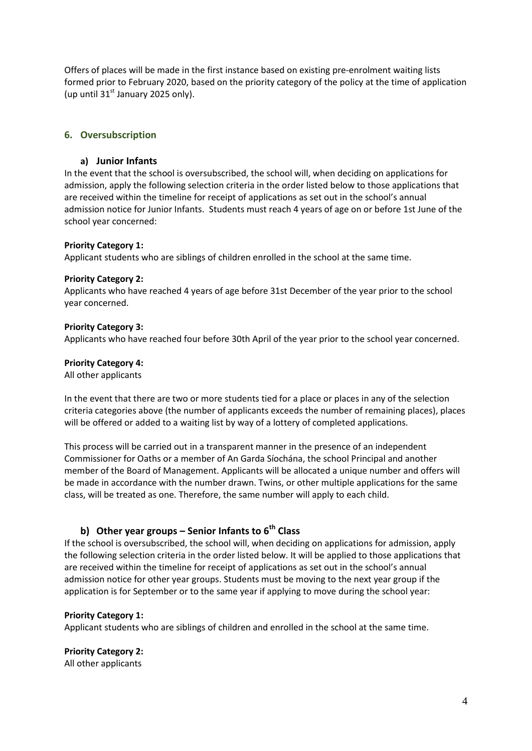Offers of places will be made in the first instance based on existing pre-enrolment waiting lists formed prior to February 2020, based on the priority category of the policy at the time of application (up until  $31<sup>st</sup>$  January 2025 only).

## <span id="page-3-0"></span>**6. Oversubscription**

### **a) Junior Infants**

In the event that the school is oversubscribed, the school will, when deciding on applications for admission, apply the following selection criteria in the order listed below to those applications that are received within the timeline for receipt of applications as set out in the school's annual admission notice for Junior Infants. Students must reach 4 years of age on or before 1st June of the school year concerned:

#### **Priority Category 1:**

Applicant students who are siblings of children enrolled in the school at the same time.

#### **Priority Category 2:**

Applicants who have reached 4 years of age before 31st December of the year prior to the school year concerned.

#### **Priority Category 3:**

Applicants who have reached four before 30th April of the year prior to the school year concerned.

#### **Priority Category 4:**

All other applicants

In the event that there are two or more students tied for a place or places in any of the selection criteria categories above (the number of applicants exceeds the number of remaining places), places will be offered or added to a waiting list by way of a lottery of completed applications.

This process will be carried out in a transparent manner in the presence of an independent Commissioner for Oaths or a member of An Garda Síochána, the school Principal and another member of the Board of Management. Applicants will be allocated a unique number and offers will be made in accordance with the number drawn. Twins, or other multiple applications for the same class, will be treated as one. Therefore, the same number will apply to each child.

# **b) Other year groups – Senior Infants to 6th Class**

If the school is oversubscribed, the school will, when deciding on applications for admission, apply the following selection criteria in the order listed below. It will be applied to those applications that are received within the timeline for receipt of applications as set out in the school's annual admission notice for other year groups. Students must be moving to the next year group if the application is for September or to the same year if applying to move during the school year:

#### **Priority Category 1:**

Applicant students who are siblings of children and enrolled in the school at the same time.

**Priority Category 2:** All other applicants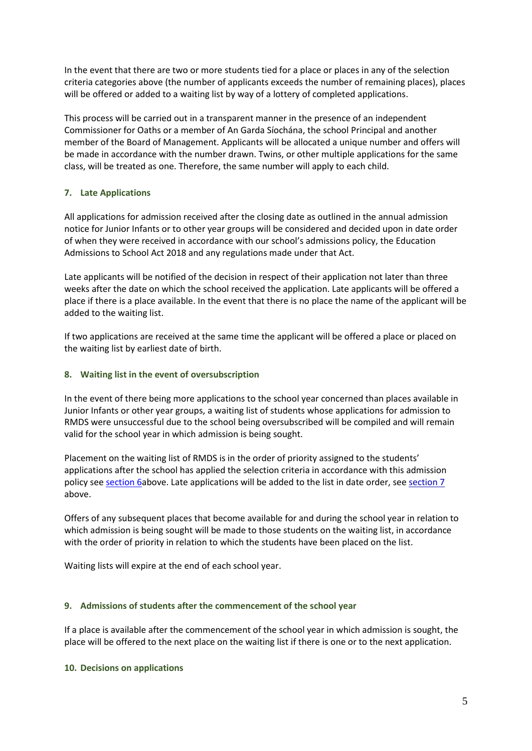In the event that there are two or more students tied for a place or places in any of the selection criteria categories above (the number of applicants exceeds the number of remaining places), places will be offered or added to a waiting list by way of a lottery of completed applications.

This process will be carried out in a transparent manner in the presence of an independent Commissioner for Oaths or a member of An Garda Síochána, the school Principal and another member of the Board of Management. Applicants will be allocated a unique number and offers will be made in accordance with the number drawn. Twins, or other multiple applications for the same class, will be treated as one. Therefore, the same number will apply to each child.

## <span id="page-4-0"></span>**7. Late Applications**

All applications for admission received after the closing date as outlined in the annual admission notice for Junior Infants or to other year groups will be considered and decided upon in date order of when they were received in accordance with our school's admissions policy, the Education Admissions to School Act 2018 and any regulations made under that Act.

Late applicants will be notified of the decision in respect of their application not later than three weeks after the date on which the school received the application. Late applicants will be offered a place if there is a place available. In the event that there is no place the name of the applicant will be added to the waiting list.

If two applications are received at the same time the applicant will be offered a place or placed on the waiting list by earliest date of birth.

#### **8. Waiting list in the event of oversubscription**

In the event of there being more applications to the school year concerned than places available in Junior Infants or other year groups, a waiting list of students whose applications for admission to RMDS were unsuccessful due to the school being oversubscribed will be compiled and will remain valid for the school year in which admission is being sought.

Placement on the waiting list of RMDS is in the order of priority assigned to the students' applications after the school has applied the selection criteria in accordance with this admission policy se[e section 6a](#page-3-0)bove. Late applications will be added to the list in date order, se[e section 7](#page-4-0) above.

Offers of any subsequent places that become available for and during the school year in relation to which admission is being sought will be made to those students on the waiting list, in accordance with the order of priority in relation to which the students have been placed on the list.

Waiting lists will expire at the end of each school year.

#### **9. Admissions of students after the commencement of the school year**

If a place is available after the commencement of the school year in which admission is sought, the place will be offered to the next place on the waiting list if there is one or to the next application.

#### **10. Decisions on applications**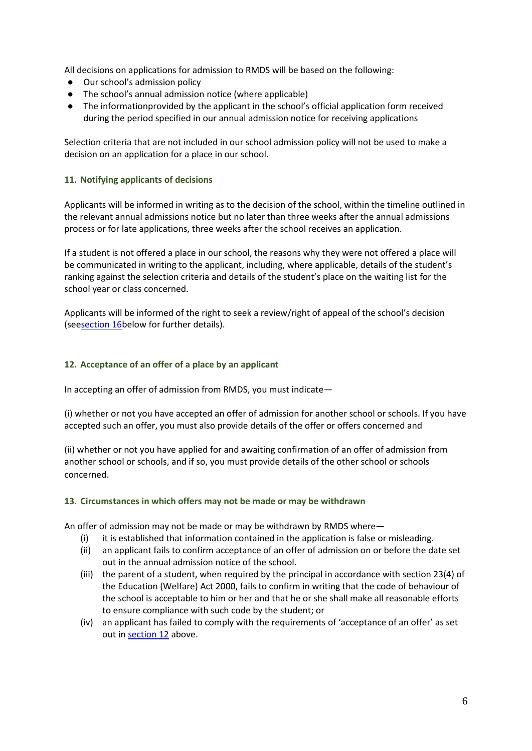All decisions on applications for admission to RMDS will be based on the following:

- Our school's admission policy
- The school's annual admission notice (where applicable)
- The informationprovided by the applicant in the school's official application form received during the period specified in our annual admission notice for receiving applications

Selection criteria that are not included in our school admission policy will not be used to make a decision on an application for a place in our school.

## **11. Notifying applicants of decisions**

Applicants will be informed in writing as to the decision of the school, within the timeline outlined in the relevant annual admissions notice but no later than three weeks after the annual admissions process or for late applications, three weeks after the school receives an application.

If a student is not offered a place in our school, the reasons why they were not offered a place will be communicated in writing to the applicant, including, where applicable, details of the student's ranking against the selection criteria and details of the student's place on the waiting list for the school year or class concerned.

Applicants will be informed of the right to seek a review/right of appeal of the school's decision (se[esection 16b](#page-6-0)elow for further details).

## <span id="page-5-0"></span>**12. Acceptance of an offer of a place by an applicant**

In accepting an offer of admission from RMDS, you must indicate—

(i) whether or not you have accepted an offer of admission for another school or schools. If you have accepted such an offer, you must also provide details of the offer or offers concerned and

(ii) whether or not you have applied for and awaiting confirmation of an offer of admission from another school or schools, and if so, you must provide details of the other school or schools concerned.

#### **13. Circumstances in which offers may not be made or may be withdrawn**

An offer of admission may not be made or may be withdrawn by RMDS where—

- (i) it is established that information contained in the application is false or misleading.
- (ii) an applicant fails to confirm acceptance of an offer of admission on or before the date set out in the annual admission notice of the school.
- (iii) the parent of a student, when required by the principal in accordance with section 23(4) of the Education (Welfare) Act 2000, fails to confirm in writing that the code of behaviour of the school is acceptable to him or her and that he or she shall make all reasonable efforts to ensure compliance with such code by the student; or
- (iv) an applicant has failed to comply with the requirements of 'acceptance of an offer' as set out in [section 12](#page-5-0) above.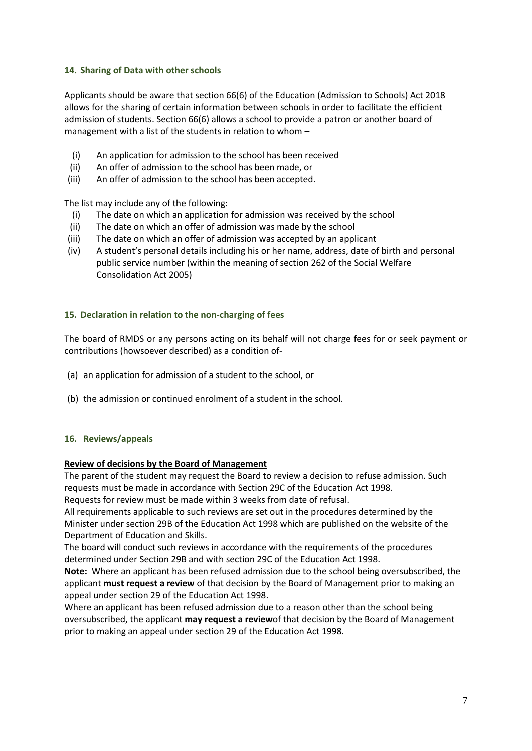#### **14. Sharing of Data with other schools**

Applicants should be aware that section 66(6) of the Education (Admission to Schools) Act 2018 allows for the sharing of certain information between schools in order to facilitate the efficient admission of students. Section 66(6) allows a school to provide a patron or another board of management with a list of the students in relation to whom –

- (i) An application for admission to the school has been received
- (ii) An offer of admission to the school has been made, or
- (iii) An offer of admission to the school has been accepted.

The list may include any of the following:

- (i) The date on which an application for admission was received by the school
- (ii) The date on which an offer of admission was made by the school
- (iii) The date on which an offer of admission was accepted by an applicant
- (iv) A student's personal details including his or her name, address, date of birth and personal public service number (within the meaning of section 262 of the Social Welfare Consolidation Act 2005)

#### **15. Declaration in relation to the non-charging of fees**

The board of RMDS or any persons acting on its behalf will not charge fees for or seek payment or contributions (howsoever described) as a condition of-

- (a) an application for admission of a student to the school, or
- (b) the admission or continued enrolment of a student in the school.

#### <span id="page-6-0"></span>**16. Reviews/appeals**

#### **Review of decisions by the Board of Management**

The parent of the student may request the Board to review a decision to refuse admission. Such requests must be made in accordance with Section 29C of the Education Act 1998.

Requests for review must be made within 3 weeks from date of refusal.

All requirements applicable to such reviews are set out in the procedures determined by the Minister under section 29B of the Education Act 1998 which are published on the website of the Department of Education and Skills.

The board will conduct such reviews in accordance with the requirements of the procedures determined under Section 29B and with section 29C of the Education Act 1998.

**Note:** Where an applicant has been refused admission due to the school being oversubscribed, the applicant **must request a review** of that decision by the Board of Management prior to making an appeal under section 29 of the Education Act 1998.

Where an applicant has been refused admission due to a reason other than the school being oversubscribed, the applicant **may request a review**of that decision by the Board of Management prior to making an appeal under section 29 of the Education Act 1998.